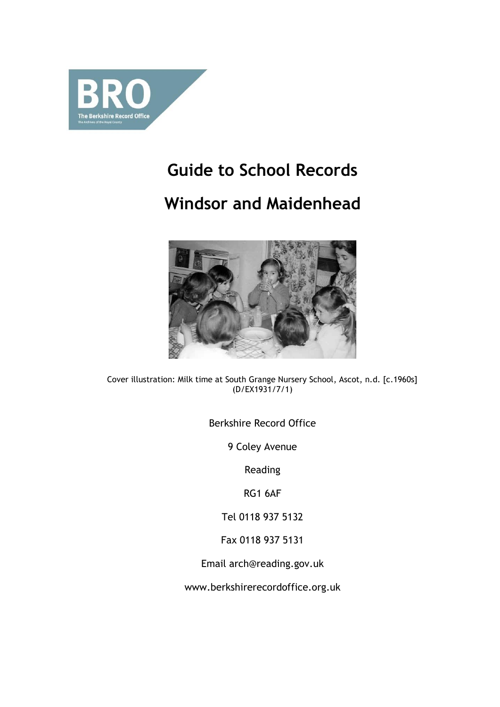

# **Guide to School Records**

# **Windsor and Maidenhead**



Cover illustration: Milk time at South Grange Nursery School, Ascot, n.d. [c.1960s] (D/EX1931/7/1)

Berkshire Record Office

9 Coley Avenue

Reading

RG1 6AF

Tel 0118 937 5132

Fax 0118 937 5131

Email arch@reading.gov.uk

www.berkshirerecordoffice.org.uk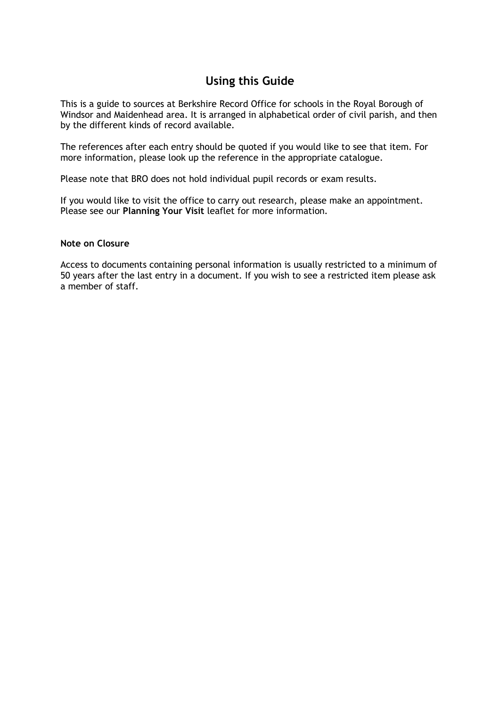# **Using this Guide**

This is a guide to sources at Berkshire Record Office for schools in the Royal Borough of Windsor and Maidenhead area. It is arranged in alphabetical order of civil parish, and then by the different kinds of record available.

The references after each entry should be quoted if you would like to see that item. For more information, please look up the reference in the appropriate catalogue.

Please note that BRO does not hold individual pupil records or exam results.

If you would like to visit the office to carry out research, please make an appointment. Please see our **Planning Your Visit** leaflet for more information*.*

#### **Note on Closure**

Access to documents containing personal information is usually restricted to a minimum of 50 years after the last entry in a document. If you wish to see a restricted item please ask a member of staff.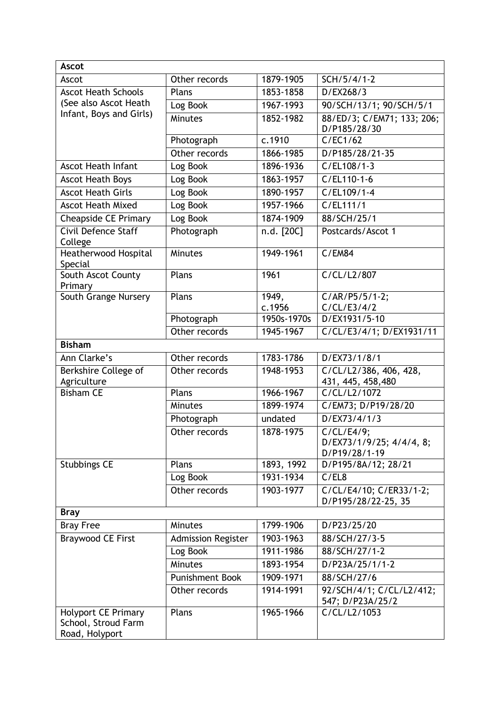| <b>Ascot</b>                                                        |                           |             |                                                         |
|---------------------------------------------------------------------|---------------------------|-------------|---------------------------------------------------------|
| Ascot                                                               | Other records             | 1879-1905   | SCH/5/4/1-2                                             |
| <b>Ascot Heath Schools</b>                                          | Plans                     | 1853-1858   | D/EX268/3                                               |
| (See also Ascot Heath                                               | Log Book                  | 1967-1993   | 90/SCH/13/1; 90/SCH/5/1                                 |
| Infant, Boys and Girls)                                             | Minutes                   | 1852-1982   | 88/ED/3; C/EM71; 133; 206;<br>D/P185/28/30              |
|                                                                     | Photograph                | c.1910      | C/EC1/62                                                |
|                                                                     | Other records             | 1866-1985   | D/P185/28/21-35                                         |
| <b>Ascot Heath Infant</b>                                           | Log Book                  | 1896-1936   | $C/EL108/1-3$                                           |
| Ascot Heath Boys                                                    | Log Book                  | 1863-1957   | $C/EL110-1-6$                                           |
| <b>Ascot Heath Girls</b>                                            | Log Book                  | 1890-1957   | C/EL109/1-4                                             |
| <b>Ascot Heath Mixed</b>                                            | Log Book                  | 1957-1966   | C/EL111/1                                               |
| <b>Cheapside CE Primary</b>                                         | Log Book                  | 1874-1909   | 88/SCH/25/1                                             |
| Civil Defence Staff<br>College                                      | Photograph                | n.d. [20C]  | Postcards/Ascot 1                                       |
| Heatherwood Hospital<br>Special                                     | <b>Minutes</b>            | 1949-1961   | C/EM84                                                  |
| South Ascot County<br>Primary                                       | Plans                     | 1961        | C/CL/L2/807                                             |
| South Grange Nursery                                                | Plans                     | 1949,       | $C/AR/P5/5/1-2;$                                        |
|                                                                     |                           | c.1956      | C/CL/E3/4/2                                             |
|                                                                     | Photograph                | 1950s-1970s | D/EX1931/5-10                                           |
|                                                                     | Other records             | 1945-1967   | C/CL/E3/4/1; D/EX1931/11                                |
| <b>Bisham</b>                                                       |                           |             |                                                         |
| Ann Clarke's                                                        | Other records             | 1783-1786   | D/EX73/1/8/1                                            |
| Berkshire College of<br>Agriculture                                 | Other records             | 1948-1953   | C/CL/L2/386, 406, 428,<br>431, 445, 458, 480            |
| <b>Bisham CE</b>                                                    | Plans                     | 1966-1967   | C/CL/L2/1072                                            |
|                                                                     | <b>Minutes</b>            | 1899-1974   | C/EM73; D/P19/28/20                                     |
|                                                                     | Photograph                | undated     | D/EX73/4/1/3                                            |
|                                                                     | Other records             | 1878-1975   | C/CL/E4/9;<br>D/EX73/1/9/25; 4/4/4, 8;<br>D/P19/28/1-19 |
| <b>Stubbings CE</b>                                                 | Plans                     | 1893, 1992  | D/P195/8A/12; 28/21                                     |
|                                                                     | Log Book                  | 1931-1934   | C/EL8                                                   |
|                                                                     | Other records             | 1903-1977   | C/CL/E4/10; C/ER33/1-2;<br>D/P195/28/22-25, 35          |
| <b>Bray</b>                                                         |                           |             |                                                         |
| <b>Bray Free</b>                                                    | <b>Minutes</b>            | 1799-1906   | D/P23/25/20                                             |
| <b>Braywood CE First</b>                                            | <b>Admission Register</b> | 1903-1963   | 88/SCH/27/3-5                                           |
|                                                                     | Log Book                  | 1911-1986   | $\frac{88}{5CH/27/1-2}$                                 |
|                                                                     | <b>Minutes</b>            | 1893-1954   | D/P23A/25/1/1-2                                         |
|                                                                     | <b>Punishment Book</b>    | 1909-1971   | 88/SCH/27/6                                             |
|                                                                     | Other records             | 1914-1991   | 92/SCH/4/1; C/CL/L2/412;<br>547; D/P23A/25/2            |
| <b>Holyport CE Primary</b><br>School, Stroud Farm<br>Road, Holyport | Plans                     | 1965-1966   | C/CL/L2/1053                                            |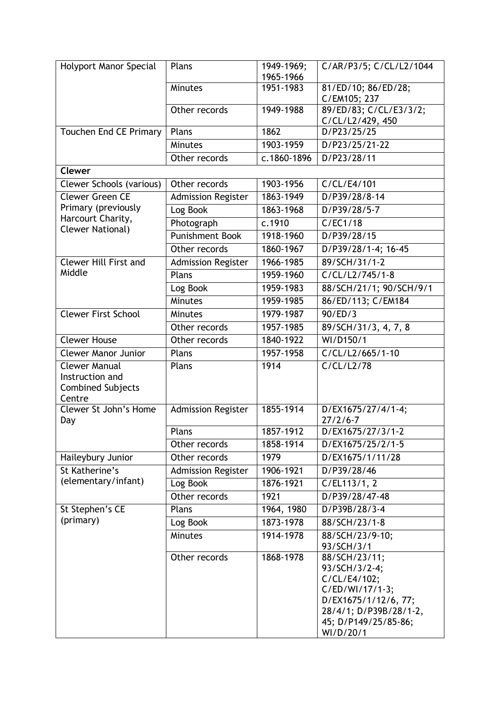| Holyport Manor Special                                                        | Plans                     | 1949-1969;<br>1965-1966 | C/AR/P3/5; C/CL/L2/1044             |
|-------------------------------------------------------------------------------|---------------------------|-------------------------|-------------------------------------|
|                                                                               | <b>Minutes</b>            | 1951-1983               | 81/ED/10; 86/ED/28;<br>C/EM105; 237 |
|                                                                               | Other records             | 1949-1988               | 89/ED/83; C/CL/E3/3/2;              |
| <b>Touchen End CE Primary</b>                                                 | Plans                     | 1862                    | C/CL/L2/429, 450<br>D/P23/25/25     |
|                                                                               | <b>Minutes</b>            | 1903-1959               | D/P23/25/21-22                      |
|                                                                               | Other records             | c.1860-1896             | D/P23/28/11                         |
| <b>Clewer</b>                                                                 |                           |                         |                                     |
| Clewer Schools (various)                                                      | Other records             | 1903-1956               | C/CL/E4/101                         |
| <b>Clewer Green CE</b>                                                        | <b>Admission Register</b> | 1863-1949               | D/P39/28/8-14                       |
| Primary (previously                                                           | Log Book                  | 1863-1968               | D/P39/28/5-7                        |
| Harcourt Charity,                                                             | Photograph                | c.1910                  | C/EC1/18                            |
| <b>Clewer National)</b>                                                       | <b>Punishment Book</b>    | 1918-1960               | D/P39/28/15                         |
|                                                                               | Other records             | 1860-1967               | D/P39/28/1-4; 16-45                 |
| Clewer Hill First and                                                         | <b>Admission Register</b> | 1966-1985               | 89/SCH/31/1-2                       |
| Middle                                                                        | Plans                     | 1959-1960               | C/CL/L2/745/1-8                     |
|                                                                               | Log Book                  | 1959-1983               | 88/SCH/21/1; 90/SCH/9/1             |
|                                                                               | <b>Minutes</b>            | 1959-1985               | 86/ED/113; C/EM184                  |
| <b>Clewer First School</b>                                                    | Minutes                   | 1979-1987               | 90/ED/3                             |
|                                                                               | Other records             | 1957-1985               | 89/SCH/31/3, 4, 7, 8                |
| <b>Clewer House</b>                                                           | Other records             | 1840-1922               | WI/D150/1                           |
| <b>Clewer Manor Junior</b>                                                    | Plans                     | 1957-1958               | C/CL/L2/665/1-10                    |
|                                                                               |                           |                         |                                     |
| <b>Clewer Manual</b><br>Instruction and<br><b>Combined Subjects</b><br>Centre | Plans                     | 1914                    | C/CL/L2/78                          |
| Clewer St John's Home<br>Day                                                  | <b>Admission Register</b> | 1855-1914               | D/EX1675/27/4/1-4;<br>$27/2/6 - 7$  |
|                                                                               | Plans                     | 1857-1912               | $D/EX1675/27/3/\overline{1-2}$      |
|                                                                               | Other records             | 1858-1914               | D/EX1675/25/2/1-5                   |
| Haileybury Junior                                                             | Other records             | 1979                    | D/EX1675/1/11/28                    |
| St Katherine's                                                                | <b>Admission Register</b> | 1906-1921               | D/P39/28/46                         |
| (elementary/infant)                                                           | Log Book                  | 1876-1921               | C/EL113/1, 2                        |
|                                                                               | Other records             | 1921                    | D/P39/28/47-48                      |
| St Stephen's CE                                                               | Plans                     | 1964, 1980              | D/P39B/28/3-4                       |
| (primary)                                                                     | Log Book                  | 1873-1978               | 88/SCH/23/1-8                       |
|                                                                               | <b>Minutes</b>            | 1914-1978               | 88/SCH/23/9-10;                     |
|                                                                               |                           |                         | 93/SCH/3/1                          |
|                                                                               | Other records             | 1868-1978               | 88/SCH/23/11;<br>93/SCH/3/2-4;      |
|                                                                               |                           |                         | C/CL/E4/102;                        |
|                                                                               |                           |                         | C/ED/WI/17/1-3;                     |
|                                                                               |                           |                         | D/EX1675/1/12/6, 77;                |
|                                                                               |                           |                         | 28/4/1; D/P39B/28/1-2,              |
|                                                                               |                           |                         | 45; D/P149/25/85-86;<br>WI/D/20/1   |
|                                                                               |                           |                         |                                     |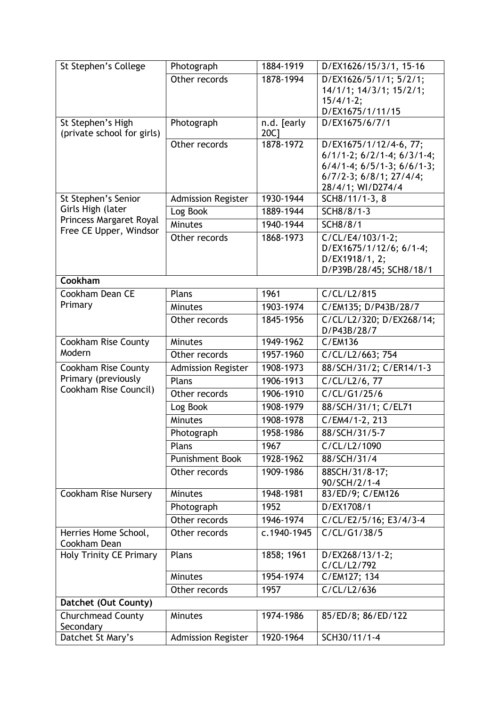| St Stephen's College                  | Photograph                | 1884-1919   | D/EX1626/15/3/1, 15-16                                |
|---------------------------------------|---------------------------|-------------|-------------------------------------------------------|
|                                       | Other records             | 1878-1994   | D/EX1626/5/1/1; 5/2/1;                                |
|                                       |                           |             | 14/1/1; 14/3/1; 15/2/1;                               |
|                                       |                           |             | $15/4/1-2;$<br>D/EX1675/1/11/15                       |
| St Stephen's High                     | Photograph                | n.d. [early | D/EX1675/6/7/1                                        |
| (private school for girls)            |                           | 20C1        |                                                       |
|                                       | Other records             | 1878-1972   | D/EX1675/1/12/4-6, 77;                                |
|                                       |                           |             | $6/1/1$ -2; $6/2/1$ -4; $6/3/1$ -4;                   |
|                                       |                           |             | $6/4/1-4$ ; $6/5/1-3$ ; $6/6/1-3$ ;                   |
|                                       |                           |             | $6/7/2-3$ ; $6/8/1$ ; $27/4/4$ ;<br>28/4/1; WI/D274/4 |
| St Stephen's Senior                   | <b>Admission Register</b> | 1930-1944   | SCH8/11/1-3, 8                                        |
| Girls High (later                     | Log Book                  | 1889-1944   | SCH8/8/1-3                                            |
| Princess Margaret Royal               | Minutes                   | 1940-1944   | <b>SCH8/8/1</b>                                       |
| Free CE Upper, Windsor                | Other records             | 1868-1973   | C/CL/E4/103/1-2;                                      |
|                                       |                           |             | D/EX1675/1/12/6; 6/1-4;                               |
|                                       |                           |             | D/EX1918/1, 2;                                        |
|                                       |                           |             | D/P39B/28/45; SCH8/18/1                               |
| Cookham                               |                           |             |                                                       |
| Cookham Dean CE                       | Plans                     | 1961        | C/CL/L2/815                                           |
| Primary                               | Minutes                   | 1903-1974   | C/EM135; D/P43B/28/7                                  |
|                                       | Other records             | 1845-1956   | C/CL/L2/320; D/EX268/14;<br>D/P43B/28/7               |
| <b>Cookham Rise County</b>            | Minutes                   | 1949-1962   | C/EM136                                               |
| Modern                                | Other records             | 1957-1960   | C/CL/L2/663; 754                                      |
| Cookham Rise County                   | <b>Admission Register</b> | 1908-1973   | 88/SCH/31/2; C/ER14/1-3                               |
| Primary (previously                   | Plans                     | 1906-1913   | C/CL/L2/6, 77                                         |
| Cookham Rise Council)                 | Other records             | 1906-1910   | C/CL/G1/25/6                                          |
|                                       | Log Book                  | 1908-1979   | 88/SCH/31/1; C/EL71                                   |
|                                       | <b>Minutes</b>            | 1908-1978   | C/EM4/1-2, 213                                        |
|                                       | Photograph                | 1958-1986   | 88/SCH/31/5-7                                         |
|                                       | Plans                     | 1967        | C/CL/L2/1090                                          |
|                                       | <b>Punishment Book</b>    | 1928-1962   | 88/SCH/31/4                                           |
|                                       | Other records             | 1909-1986   | 88SCH/31/8-17;                                        |
|                                       |                           |             | 90/SCH/2/1-4                                          |
| Cookham Rise Nursery                  | <b>Minutes</b>            | 1948-1981   | 83/ED/9; C/EM126                                      |
|                                       | Photograph                | 1952        | D/EX1708/1                                            |
|                                       | Other records             | 1946-1974   | C/CL/E2/5/16; E3/4/3-4                                |
| Herries Home School,<br>Cookham Dean  | Other records             | c.1940-1945 | C/CL/G1/38/5                                          |
| <b>Holy Trinity CE Primary</b>        | Plans                     | 1858; 1961  | D/EX268/13/1-2;<br>C/CL/L2/792                        |
|                                       | <b>Minutes</b>            | 1954-1974   | C/EM127; 134                                          |
|                                       | Other records             | 1957        | C/CL/L2/636                                           |
| Datchet (Out County)                  |                           |             |                                                       |
| <b>Churchmead County</b><br>Secondary | <b>Minutes</b>            | 1974-1986   | 85/ED/8; 86/ED/122                                    |
| Datchet St Mary's                     | <b>Admission Register</b> | 1920-1964   | SCH30/11/1-4                                          |
|                                       |                           |             |                                                       |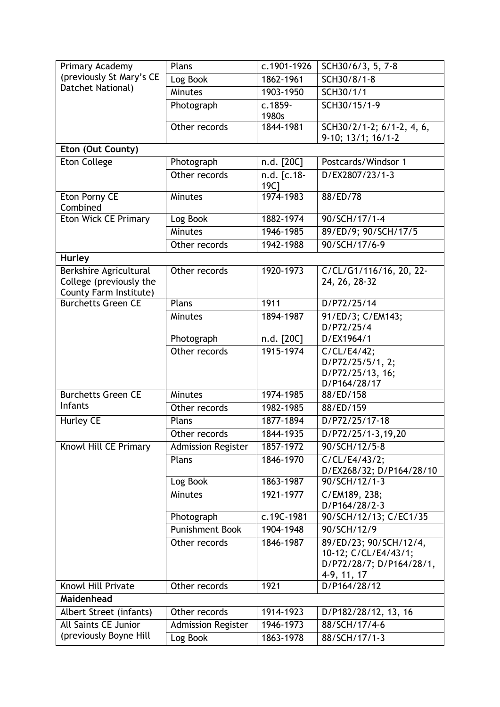| Primary Academy                                   | Plans                     | $\overline{c.1901}$ -1926 | SCH30/6/3, 5, 7-8                              |
|---------------------------------------------------|---------------------------|---------------------------|------------------------------------------------|
| (previously St Mary's CE                          | Log Book                  | 1862-1961                 | SCH30/8/1-8                                    |
| Datchet National)                                 | Minutes                   | 1903-1950                 | SCH30/1/1                                      |
|                                                   | Photograph                | $c.1859-$                 | SCH30/15/1-9                                   |
|                                                   |                           | 1980s                     |                                                |
|                                                   | Other records             | 1844-1981                 | SCH30/2/1-2; 6/1-2, 4, 6,                      |
| Eton (Out County)                                 |                           |                           | $9-10; 13/1; 16/1-2$                           |
| <b>Eton College</b>                               | Photograph                | n.d. [20C]                | Postcards/Windsor 1                            |
|                                                   | Other records             | n.d. [c.18-               | D/EX2807/23/1-3                                |
|                                                   |                           | 19C <sub>1</sub>          |                                                |
| Eton Porny CE                                     | <b>Minutes</b>            | 1974-1983                 | 88/ED/78                                       |
| Combined                                          |                           |                           |                                                |
| <b>Eton Wick CE Primary</b>                       | Log Book                  | 1882-1974                 | 90/SCH/17/1-4                                  |
|                                                   | Minutes                   | 1946-1985                 | 89/ED/9; 90/SCH/17/5                           |
|                                                   | Other records             | 1942-1988                 | 90/SCH/17/6-9                                  |
| <b>Hurley</b>                                     |                           |                           |                                                |
| Berkshire Agricultural                            | Other records             | 1920-1973                 | C/CL/G1/116/16, 20, 22-                        |
| College (previously the<br>County Farm Institute) |                           |                           | 24, 26, 28-32                                  |
| <b>Burchetts Green CE</b>                         | Plans                     | 1911                      | D/P72/25/14                                    |
|                                                   | <b>Minutes</b>            | 1894-1987                 | 91/ED/3; C/EM143;                              |
|                                                   |                           |                           | D/P72/25/4                                     |
|                                                   | Photograph                | n.d. [20C]                | D/EX1964/1                                     |
|                                                   | Other records             | 1915-1974                 | C/CL/E4/42;                                    |
|                                                   |                           |                           | D/P72/25/5/1, 2;                               |
|                                                   |                           |                           | D/P72/25/13, 16;<br>D/P164/28/17               |
| <b>Burchetts Green CE</b>                         | <b>Minutes</b>            | 1974-1985                 | 88/ED/158                                      |
| Infants                                           | Other records             | 1982-1985                 | 88/ED/159                                      |
| Hurley CE                                         | Plans                     | 1877-1894                 | $\overline{D/P72}/25/17-18$                    |
|                                                   | Other records             | 1844-1935                 | D/P72/25/1-3,19,20                             |
| Knowl Hill CE Primary                             | <b>Admission Register</b> | 1857-1972                 | 90/SCH/12/5-8                                  |
|                                                   | Plans                     | 1846-1970                 | C/CL/E4/43/2;                                  |
|                                                   |                           |                           | D/EX268/32; D/P164/28/10                       |
|                                                   | Log Book                  | 1863-1987                 | 90/SCH/12/1-3                                  |
|                                                   | <b>Minutes</b>            | 1921-1977                 | C/EM189, 238;                                  |
|                                                   |                           |                           | D/P164/28/2-3                                  |
|                                                   | Photograph                | c.19C-1981                | 90/SCH/12/13; C/EC1/35                         |
|                                                   | <b>Punishment Book</b>    | 1904-1948                 | 90/SCH/12/9                                    |
|                                                   | Other records             | 1846-1987                 | 89/ED/23; 90/SCH/12/4,<br>10-12; C/CL/E4/43/1; |
|                                                   |                           |                           | D/P72/28/7; D/P164/28/1,                       |
|                                                   |                           |                           | 4-9, 11, 17                                    |
| Knowl Hill Private                                | Other records             | 1921                      | D/P164/28/12                                   |
| Maidenhead                                        |                           |                           |                                                |
| Albert Street (infants)                           | Other records             | 1914-1923                 | D/P182/28/12, 13, 16                           |
| All Saints CE Junior                              | <b>Admission Register</b> | 1946-1973                 | 88/SCH/17/4-6                                  |
| (previously Boyne Hill                            | Log Book                  | 1863-1978                 | 88/SCH/17/1-3                                  |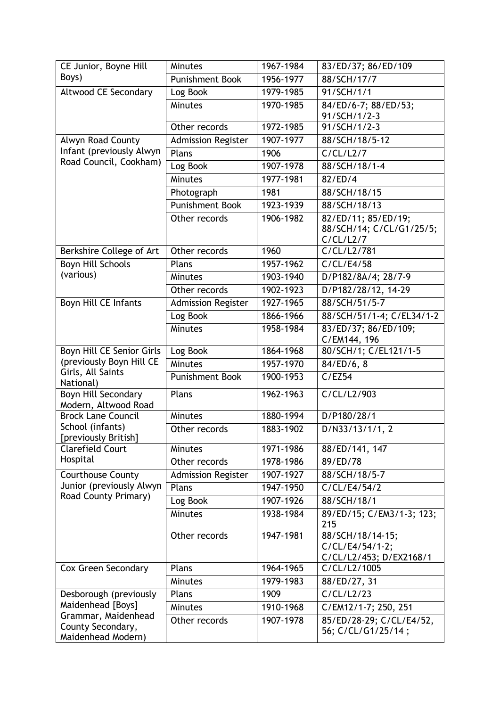| CE Junior, Boyne Hill                                          | <b>Minutes</b>            | 1967-1984 | 83/ED/37; 86/ED/109                                            |
|----------------------------------------------------------------|---------------------------|-----------|----------------------------------------------------------------|
| Boys)                                                          | <b>Punishment Book</b>    | 1956-1977 | 88/SCH/17/7                                                    |
| Altwood CE Secondary                                           | Log Book                  | 1979-1985 | 91/SCH/1/1                                                     |
|                                                                | <b>Minutes</b>            | 1970-1985 | 84/ED/6-7; 88/ED/53;                                           |
|                                                                |                           |           | 91/SCH/1/2-3                                                   |
|                                                                | Other records             | 1972-1985 | 91/SCH/1/2-3                                                   |
| Alwyn Road County                                              | <b>Admission Register</b> | 1907-1977 | 88/SCH/18/5-12                                                 |
| Infant (previously Alwyn                                       | Plans                     | 1906      | C/CL/L2/7                                                      |
| Road Council, Cookham)                                         | Log Book                  | 1907-1978 | 88/SCH/18/1-4                                                  |
|                                                                | <b>Minutes</b>            | 1977-1981 | 82/ED/4                                                        |
|                                                                | Photograph                | 1981      | 88/SCH/18/15                                                   |
|                                                                | Punishment Book           | 1923-1939 | 88/SCH/18/13                                                   |
|                                                                | Other records             | 1906-1982 | 82/ED/11; 85/ED/19;<br>88/SCH/14; C/CL/G1/25/5;<br>C/CL/L2/7   |
| Berkshire College of Art                                       | Other records             | 1960      | C/CL/L2/781                                                    |
| <b>Boyn Hill Schools</b>                                       | Plans                     | 1957-1962 | C/CL/E4/58                                                     |
| (various)                                                      | Minutes                   | 1903-1940 | D/P182/8A/4; 28/7-9                                            |
|                                                                | Other records             | 1902-1923 | D/P182/28/12, 14-29                                            |
| Boyn Hill CE Infants                                           | Admission Register        | 1927-1965 | 88/SCH/51/5-7                                                  |
|                                                                | Log Book                  | 1866-1966 | 88/SCH/51/1-4; C/EL34/1-2                                      |
|                                                                | Minutes                   | 1958-1984 | 83/ED/37; 86/ED/109;<br>C/EM144, 196                           |
| Boyn Hill CE Senior Girls                                      | Log Book                  | 1864-1968 | 80/SCH/1; C/EL121/1-5                                          |
| (previously Boyn Hill CE                                       | <b>Minutes</b>            | 1957-1970 | 84/ED/6, 8                                                     |
| Girls, All Saints<br>National)                                 | <b>Punishment Book</b>    | 1900-1953 | C/EZ54                                                         |
| Boyn Hill Secondary                                            | Plans                     | 1962-1963 | C/CL/L2/903                                                    |
| Modern, Altwood Road<br><b>Brock Lane Council</b>              | <b>Minutes</b>            | 1880-1994 | D/P180/28/1                                                    |
| School (infants)                                               | Other records             | 1883-1902 | D/N33/13/1/1, 2                                                |
| [previously British]                                           |                           |           |                                                                |
| <b>Clarefield Court</b>                                        | <b>Minutes</b>            | 1971-1986 | 88/ED/141, 147                                                 |
| Hospital                                                       | Other records             | 1978-1986 | 89/ED/78                                                       |
| <b>Courthouse County</b>                                       | <b>Admission Register</b> | 1907-1927 | 88/SCH/18/5-7                                                  |
| Junior (previously Alwyn                                       | Plans                     | 1947-1950 | C/CL/E4/54/2                                                   |
| Road County Primary)                                           | Log Book                  | 1907-1926 | 88/SCH/18/1                                                    |
|                                                                | <b>Minutes</b>            | 1938-1984 | 89/ED/15; C/EM3/1-3; 123;<br>215                               |
|                                                                | Other records             | 1947-1981 | 88/SCH/18/14-15;<br>C/CL/E4/54/1-2;<br>C/CL/L2/453; D/EX2168/1 |
| Cox Green Secondary                                            | Plans                     | 1964-1965 | C/CL/L2/1005                                                   |
|                                                                | <b>Minutes</b>            | 1979-1983 | 88/ED/27, 31                                                   |
| Desborough (previously                                         | Plans                     | 1909      | C/CL/L2/23                                                     |
| Maidenhead [Boys]                                              | <b>Minutes</b>            | 1910-1968 | C/EM12/1-7; 250, 251                                           |
| Grammar, Maidenhead<br>County Secondary,<br>Maidenhead Modern) | Other records             | 1907-1978 | 85/ED/28-29; C/CL/E4/52,<br>56; C/CL/G1/25/14;                 |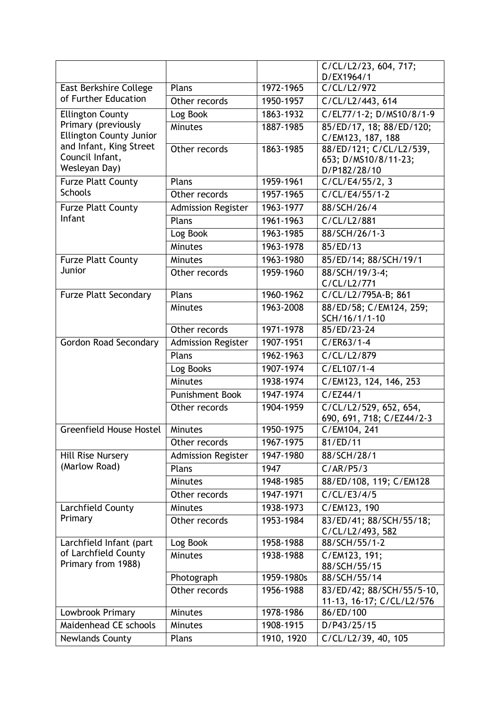|                                                |                           |            | C/CL/L2/23, 604, 717;                                  |
|------------------------------------------------|---------------------------|------------|--------------------------------------------------------|
| East Berkshire College                         | Plans                     | 1972-1965  | D/EX1964/1<br>C/CL/L2/972                              |
| of Further Education                           | Other records             | 1950-1957  | $\overline{C}/CL/L2/443, 614$                          |
|                                                | Log Book                  | 1863-1932  | C/EL77/1-2; D/MS10/8/1-9                               |
| <b>Ellington County</b><br>Primary (previously |                           |            |                                                        |
| <b>Ellington County Junior</b>                 | Minutes                   | 1887-1985  | 85/ED/17, 18; 88/ED/120;<br>C/EM123, 187, 188          |
| and Infant, King Street                        | Other records             | 1863-1985  | 88/ED/121; C/CL/L2/539,                                |
| Council Infant,                                |                           |            | 653; D/MS10/8/11-23;                                   |
| Wesleyan Day)                                  |                           |            | D/P182/28/10                                           |
| <b>Furze Platt County</b>                      | Plans                     | 1959-1961  | $\overline{C}/CL/E4/55/2, 3$                           |
| <b>Schools</b>                                 | Other records             | 1957-1965  | C/CL/E4/55/1-2                                         |
| <b>Furze Platt County</b>                      | <b>Admission Register</b> | 1963-1977  | 88/SCH/26/4                                            |
| Infant                                         | Plans                     | 1961-1963  | C/CL/L2/881                                            |
|                                                | Log Book                  | 1963-1985  | 88/SCH/26/1-3                                          |
|                                                | Minutes                   | 1963-1978  | 85/ED/13                                               |
| <b>Furze Platt County</b>                      | <b>Minutes</b>            | 1963-1980  | 85/ED/14; 88/SCH/19/1                                  |
| Junior                                         | Other records             | 1959-1960  | 88/SCH/19/3-4;                                         |
|                                                |                           |            | C/CL/L2/771                                            |
| <b>Furze Platt Secondary</b>                   | Plans                     | 1960-1962  | C/CL/L2/795A-B; 861                                    |
|                                                | <b>Minutes</b>            | 1963-2008  | 88/ED/58; C/EM124, 259;                                |
|                                                | Other records             | 1971-1978  | SCH/16/1/1-10<br>85/ED/23-24                           |
| <b>Gordon Road Secondary</b>                   | <b>Admission Register</b> | 1907-1951  | $C/ER63/1-4$                                           |
|                                                | Plans                     | 1962-1963  | C/CL/L2/879                                            |
|                                                | Log Books                 | 1907-1974  | C/EL107/1-4                                            |
|                                                | Minutes                   | 1938-1974  | C/EM123, 124, 146, 253                                 |
|                                                | <b>Punishment Book</b>    | 1947-1974  | C/EZ44/1                                               |
|                                                | Other records             | 1904-1959  | C/CL/L2/529, 652, 654,                                 |
|                                                |                           |            | 690, 691, 718; C/EZ44/2-3                              |
| <b>Greenfield House Hostel</b>                 | <b>Minutes</b>            | 1950-1975  | C/EM104, 241                                           |
|                                                | Other records             | 1967-1975  | 81/ED/11                                               |
| Hill Rise Nursery                              | <b>Admission Register</b> | 1947-1980  | 88/SCH/28/1                                            |
| (Marlow Road)                                  | Plans                     | 1947       | C/AR/P5/3                                              |
|                                                | <b>Minutes</b>            | 1948-1985  | 88/ED/108, 119; C/EM128                                |
|                                                | Other records             | 1947-1971  | C/CL/E3/4/5                                            |
| Larchfield County                              | <b>Minutes</b>            | 1938-1973  | C/EM123, 190                                           |
| Primary                                        | Other records             | 1953-1984  | 83/ED/41; 88/SCH/55/18;<br>C/CL/L2/493, 582            |
| Larchfield Infant (part                        | Log Book                  | 1958-1988  | 88/SCH/55/1-2                                          |
| of Larchfield County<br>Primary from 1988)     | <b>Minutes</b>            | 1938-1988  | C/EM123, 191;<br>88/SCH/55/15                          |
|                                                | Photograph                | 1959-1980s | 88/SCH/55/14                                           |
|                                                | Other records             | 1956-1988  | 83/ED/42; 88/SCH/55/5-10,<br>11-13, 16-17; C/CL/L2/576 |
| Lowbrook Primary                               | <b>Minutes</b>            | 1978-1986  | 86/ED/100                                              |
| Maidenhead CE schools                          | <b>Minutes</b>            | 1908-1915  | D/P43/25/15                                            |
| <b>Newlands County</b>                         | Plans                     | 1910, 1920 | C/CL/L2/39, 40, 105                                    |
|                                                |                           |            |                                                        |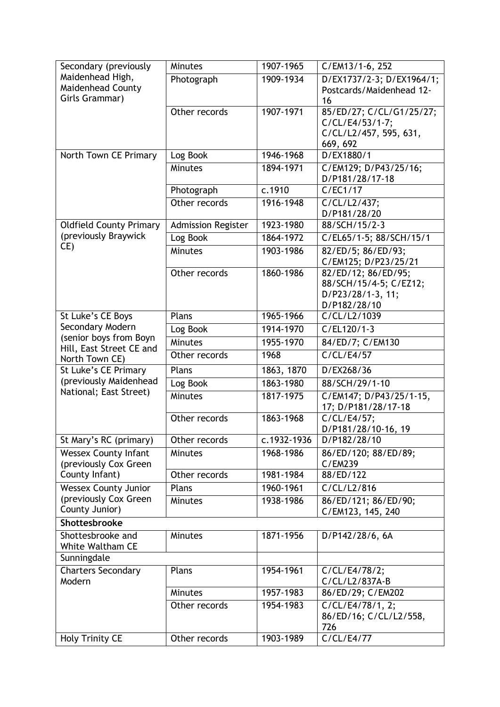| Secondary (previously                                | <b>Minutes</b>            | 1907-1965   | C/EM13/1-6, 252                               |
|------------------------------------------------------|---------------------------|-------------|-----------------------------------------------|
| Maidenhead High,                                     | Photograph                | 1909-1934   | D/EX1737/2-3; D/EX1964/1;                     |
| Maidenhead County<br>Girls Grammar)                  |                           |             | Postcards/Maidenhead 12-                      |
|                                                      | Other records             |             | 16                                            |
|                                                      |                           | 1907-1971   | 85/ED/27; C/CL/G1/25/27;<br>C/CL/E4/53/1-7;   |
|                                                      |                           |             | C/CL/L2/457, 595, 631,                        |
|                                                      |                           |             | 669, 692                                      |
| North Town CE Primary                                | Log Book                  | 1946-1968   | D/EX1880/1                                    |
|                                                      | <b>Minutes</b>            | 1894-1971   | C/EM129; D/P43/25/16;                         |
|                                                      |                           |             | D/P181/28/17-18                               |
|                                                      | Photograph                | c.1910      | C/EC1/17                                      |
|                                                      | Other records             | 1916-1948   | C/CL/L2/437;                                  |
|                                                      |                           |             | D/P181/28/20                                  |
| <b>Oldfield County Primary</b>                       | <b>Admission Register</b> | 1923-1980   | 88/SCH/15/2-3                                 |
| (previously Braywick<br>CE)                          | Log Book                  | 1864-1972   | C/EL65/1-5; 88/SCH/15/1                       |
|                                                      | <b>Minutes</b>            | 1903-1986   | 82/ED/5; 86/ED/93;                            |
|                                                      |                           | 1860-1986   | C/EM125; D/P23/25/21                          |
|                                                      | Other records             |             | 82/ED/12; 86/ED/95;<br>88/SCH/15/4-5; C/EZ12; |
|                                                      |                           |             | D/P23/28/1-3, 11;                             |
|                                                      |                           |             | D/P182/28/10                                  |
| St Luke's CE Boys                                    | Plans                     | 1965-1966   | C/CL/L2/1039                                  |
| Secondary Modern                                     | Log Book                  | 1914-1970   | $C/EL120/1-3$                                 |
| (senior boys from Boyn                               | <b>Minutes</b>            | 1955-1970   | 84/ED/7; C/EM130                              |
| Hill, East Street CE and<br>North Town CE)           | Other records             | 1968        | C/CL/E4/57                                    |
| St Luke's CE Primary                                 | Plans                     | 1863, 1870  | D/EX268/36                                    |
| (previously Maidenhead                               | Log Book                  | 1863-1980   | 88/SCH/29/1-10                                |
| National; East Street)                               | Minutes                   | 1817-1975   | C/EM147; D/P43/25/1-15,                       |
|                                                      |                           |             | 17; D/P181/28/17-18                           |
|                                                      | Other records             | 1863-1968   | C/CL/E4/57;                                   |
|                                                      |                           |             | D/P181/28/10-16, 19                           |
| St Mary's RC (primary)                               | Other records             | c.1932-1936 | D/P182/28/10                                  |
| <b>Wessex County Infant</b><br>(previously Cox Green | <b>Minutes</b>            | 1968-1986   | 86/ED/120; 88/ED/89;<br>C/EM239               |
| County Infant)                                       | Other records             | 1981-1984   | 88/ED/122                                     |
| <b>Wessex County Junior</b>                          | Plans                     | 1960-1961   | C/CL/L2/816                                   |
| (previously Cox Green                                | <b>Minutes</b>            | 1938-1986   | 86/ED/121; 86/ED/90;                          |
| County Junior)                                       |                           |             | C/EM123, 145, 240                             |
| Shottesbrooke                                        |                           |             |                                               |
| Shottesbrooke and                                    | Minutes                   | 1871-1956   | D/P142/28/6, 6A                               |
| White Waltham CE                                     |                           |             |                                               |
| Sunningdale                                          |                           |             |                                               |
| <b>Charters Secondary</b>                            | Plans                     | 1954-1961   | C/CL/E4/78/2;                                 |
| Modern                                               |                           |             | C/CL/L2/837A-B                                |
|                                                      | <b>Minutes</b>            | 1957-1983   | 86/ED/29; C/EM202                             |
|                                                      | Other records             | 1954-1983   | C/CL/E4/78/1, 2;                              |
|                                                      |                           |             | 86/ED/16; C/CL/L2/558,<br>726                 |
| <b>Holy Trinity CE</b>                               | Other records             | 1903-1989   | C/CL/E4/77                                    |
|                                                      |                           |             |                                               |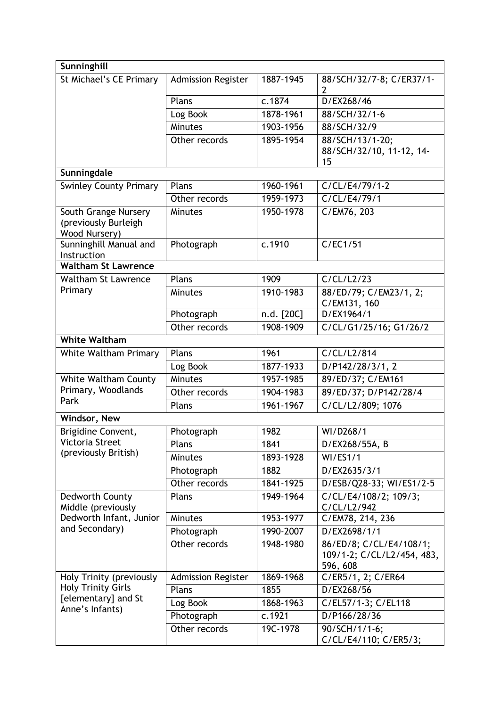| Sunninghill                                                   |                           |            |                                                   |
|---------------------------------------------------------------|---------------------------|------------|---------------------------------------------------|
| St Michael's CE Primary                                       | <b>Admission Register</b> | 1887-1945  | 88/SCH/32/7-8; C/ER37/1-<br>2                     |
|                                                               | Plans                     | c.1874     | D/EX268/46                                        |
|                                                               | Log Book                  | 1878-1961  | 88/SCH/32/1-6                                     |
|                                                               | Minutes                   | 1903-1956  | 88/SCH/32/9                                       |
|                                                               | Other records             | 1895-1954  | 88/SCH/13/1-20;<br>88/SCH/32/10, 11-12, 14-<br>15 |
| Sunningdale                                                   |                           |            |                                                   |
| <b>Swinley County Primary</b>                                 | Plans                     | 1960-1961  | C/CL/E4/79/1-2                                    |
|                                                               | Other records             | 1959-1973  | C/CL/E4/79/1                                      |
| South Grange Nursery<br>(previously Burleigh<br>Wood Nursery) | <b>Minutes</b>            | 1950-1978  | C/EM76, 203                                       |
| Sunninghill Manual and<br>Instruction                         | Photograph                | c.1910     | C/EC1/51                                          |
| <b>Waltham St Lawrence</b>                                    |                           |            |                                                   |
| <b>Waltham St Lawrence</b>                                    | Plans                     | 1909       | C/CL/L2/23                                        |
| Primary                                                       | <b>Minutes</b>            | 1910-1983  | 88/ED/79; C/EM23/1, 2;<br>C/EM131, 160            |
|                                                               | Photograph                | n.d. [20C] | D/EX1964/1                                        |
|                                                               | Other records             | 1908-1909  | C/CL/G1/25/16; G1/26/2                            |
| <b>White Waltham</b>                                          |                           |            |                                                   |
| White Waltham Primary                                         | Plans                     | 1961       | C/CL/L2/814                                       |
|                                                               | Log Book                  | 1877-1933  | D/P142/28/3/1, 2                                  |
| <b>White Waltham County</b>                                   | Minutes                   | 1957-1985  | 89/ED/37; C/EM161                                 |
| Primary, Woodlands                                            | Other records             | 1904-1983  | 89/ED/37; D/P142/28/4                             |
| Park                                                          | Plans                     | 1961-1967  | C/CL/L2/809; 1076                                 |
| Windsor, New                                                  |                           |            |                                                   |
| Brigidine Convent,                                            | Photograph                | 1982       | WI/D268/1                                         |
| Victoria Street                                               | Plans                     | 1841       | D/EX268/55A, B                                    |
| (previously British)                                          | Minutes                   | 1893-1928  | <b>WI/ES1/1</b>                                   |
|                                                               | Photograph                | 1882       | D/EX2635/3/1                                      |
|                                                               | Other records             | 1841-1925  | D/ESB/Q28-33; WI/ES1/2-5                          |
| Dedworth County<br>Middle (previously                         | Plans                     | 1949-1964  | C/CL/E4/108/2; 109/3;<br>C/CL/L2/942              |
| Dedworth Infant, Junior                                       | <b>Minutes</b>            | 1953-1977  | C/EM78, 214, 236                                  |
| and Secondary)                                                | Photograph                | 1990-2007  | D/EX2698/1/1                                      |
|                                                               | Other records             | 1948-1980  | 86/ED/8; C/CL/E4/108/1;                           |
|                                                               |                           |            | 109/1-2; C/CL/L2/454, 483,<br>596, 608            |
| Holy Trinity (previously                                      | <b>Admission Register</b> | 1869-1968  | C/ER5/1, 2; C/ER64                                |
| <b>Holy Trinity Girls</b>                                     | Plans                     | 1855       | D/EX268/56                                        |
| [elementary] and St<br>Anne's Infants)                        | Log Book                  | 1868-1963  | C/EL57/1-3; C/EL118                               |
|                                                               | Photograph                | c.1921     | D/P166/28/36                                      |
|                                                               | Other records             | 19C-1978   | 90/SCH/1/1-6;<br>C/CL/E4/110; C/ER5/3;            |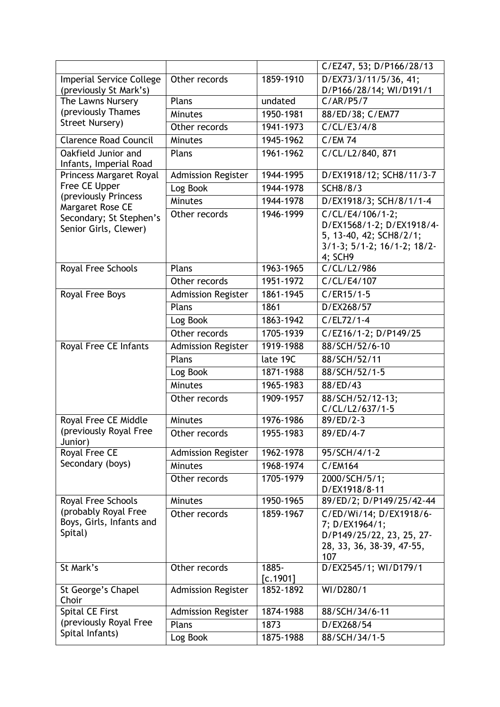|                                                             |                           |                   | C/EZ47, 53; D/P166/28/13                                                                                                      |
|-------------------------------------------------------------|---------------------------|-------------------|-------------------------------------------------------------------------------------------------------------------------------|
| <b>Imperial Service College</b>                             | Other records             | 1859-1910         | D/EX73/3/11/5/36, 41;                                                                                                         |
| (previously St Mark's)                                      |                           |                   | D/P166/28/14; WI/D191/1                                                                                                       |
| The Lawns Nursery                                           | Plans                     | undated           | C/AR/P5/7                                                                                                                     |
| (previously Thames                                          | <b>Minutes</b>            | 1950-1981         | 88/ED/38; C/EM77                                                                                                              |
| Street Nursery)                                             | Other records             | 1941-1973         | C/CL/E3/4/8                                                                                                                   |
| <b>Clarence Road Council</b>                                | Minutes                   | 1945-1962         | <b>C/EM74</b>                                                                                                                 |
| Oakfield Junior and                                         | Plans                     | 1961-1962         | C/CL/L2/840, 871                                                                                                              |
| Infants, Imperial Road                                      |                           |                   |                                                                                                                               |
| Princess Margaret Royal                                     | <b>Admission Register</b> | 1944-1995         | D/EX1918/12; SCH8/11/3-7                                                                                                      |
| Free CE Upper<br>(previously Princess                       | Log Book                  | 1944-1978         | <b>SCH8/8/3</b>                                                                                                               |
| Margaret Rose CE                                            | Minutes                   | 1944-1978         | D/EX1918/3; SCH/8/1/1-4                                                                                                       |
| Secondary; St Stephen's<br>Senior Girls, Clewer)            | Other records             | 1946-1999         | C/CL/E4/106/1-2;<br>D/EX1568/1-2; D/EX1918/4-<br>5, 13-40, 42; SCH8/2/1;<br>$3/1-3$ ; $5/1-2$ ; $16/1-2$ ; $18/2-$<br>4; SCH9 |
| Royal Free Schools                                          | Plans                     | 1963-1965         | C/CL/L2/986                                                                                                                   |
|                                                             | Other records             | 1951-1972         | C/CL/E4/107                                                                                                                   |
| Royal Free Boys                                             | <b>Admission Register</b> | 1861-1945         | $C/ER15/1-5$                                                                                                                  |
|                                                             | Plans                     | 1861              | D/EX268/57                                                                                                                    |
|                                                             | Log Book                  | 1863-1942         | $C/EL72/1-4$                                                                                                                  |
|                                                             | Other records             | 1705-1939         | C/EZ16/1-2; D/P149/25                                                                                                         |
| Royal Free CE Infants                                       | <b>Admission Register</b> | 1919-1988         | 88/SCH/52/6-10                                                                                                                |
|                                                             | Plans                     | late 19C          | 88/SCH/52/11                                                                                                                  |
|                                                             | Log Book                  | 1871-1988         | 88/SCH/52/1-5                                                                                                                 |
|                                                             | <b>Minutes</b>            | 1965-1983         | 88/ED/43                                                                                                                      |
|                                                             | Other records             | 1909-1957         | 88/SCH/52/12-13;<br>C/CL/L2/637/1-5                                                                                           |
| Royal Free CE Middle                                        | <b>Minutes</b>            | 1976-1986         | 89/ED/2-3                                                                                                                     |
| (previously Royal Free<br>Junior)                           | Other records             | 1955-1983         | 89/ED/4-7                                                                                                                     |
| Royal Free CE                                               | <b>Admission Register</b> | 1962-1978         | 95/SCH/4/1-2                                                                                                                  |
| Secondary (boys)                                            | <b>Minutes</b>            | 1968-1974         | C/EM164                                                                                                                       |
|                                                             | Other records             | 1705-1979         | 2000/SCH/5/1;<br>D/EX1918/8-11                                                                                                |
| Royal Free Schools                                          | <b>Minutes</b>            | 1950-1965         | 89/ED/2; D/P149/25/42-44                                                                                                      |
| (probably Royal Free<br>Boys, Girls, Infants and<br>Spital) | Other records             | 1859-1967         | C/ED/Wi/14; D/EX1918/6-<br>7; D/EX1964/1;<br>D/P149/25/22, 23, 25, 27-<br>28, 33, 36, 38-39, 47-55,<br>107                    |
| St Mark's                                                   | Other records             | 1885-<br>[c.1901] | D/EX2545/1; WI/D179/1                                                                                                         |
| St George's Chapel<br>Choir                                 | <b>Admission Register</b> | 1852-1892         | WI/D280/1                                                                                                                     |
| Spital CE First                                             | <b>Admission Register</b> | 1874-1988         | 88/SCH/34/6-11                                                                                                                |
| (previously Royal Free                                      | Plans                     | 1873              | D/EX268/54                                                                                                                    |
| Spital Infants)                                             | Log Book                  | 1875-1988         | 88/SCH/34/1-5                                                                                                                 |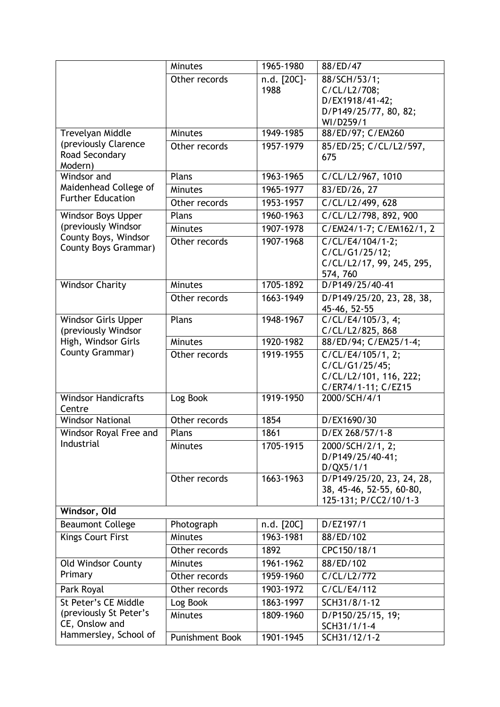|                                                     | <b>Minutes</b>         | 1965-1980           | 88/ED/47                                                                              |
|-----------------------------------------------------|------------------------|---------------------|---------------------------------------------------------------------------------------|
|                                                     | Other records          | n.d. [20C]-<br>1988 | 88/SCH/53/1;<br>C/CL/L2/708;<br>D/EX1918/41-42;<br>D/P149/25/77, 80, 82;<br>WI/D259/1 |
| Trevelyan Middle                                    | <b>Minutes</b>         | 1949-1985           | 88/ED/97; C/EM260                                                                     |
| (previously Clarence<br>Road Secondary<br>Modern)   | Other records          | 1957-1979           | 85/ED/25; C/CL/L2/597,<br>675                                                         |
| Windsor and                                         | Plans                  | 1963-1965           | C/CL/L2/967, 1010                                                                     |
| Maidenhead College of                               | Minutes                | 1965-1977           | 83/ED/26, 27                                                                          |
| <b>Further Education</b>                            | Other records          | 1953-1957           | C/CL/L2/499, 628                                                                      |
| Windsor Boys Upper                                  | Plans                  | 1960-1963           | C/CL/L2/798, 892, 900                                                                 |
| (previously Windsor                                 | <b>Minutes</b>         | 1907-1978           | C/EM24/1-7; C/EM162/1, 2                                                              |
| County Boys, Windsor<br><b>County Boys Grammar)</b> | Other records          | 1907-1968           | C/CL/E4/104/1-2;<br>C/CL/G1/25/12;<br>C/CL/L2/17, 99, 245, 295,<br>574, 760           |
| <b>Windsor Charity</b>                              | <b>Minutes</b>         | 1705-1892           | D/P149/25/40-41                                                                       |
|                                                     | Other records          | 1663-1949           | D/P149/25/20, 23, 28, 38,<br>45-46, 52-55                                             |
| Windsor Girls Upper<br>(previously Windsor          | Plans                  | 1948-1967           | C/CL/E4/105/3, 4;<br>C/CL/L2/825, 868                                                 |
| High, Windsor Girls                                 | <b>Minutes</b>         | 1920-1982           | 88/ED/94; C/EM25/1-4;                                                                 |
| County Grammar)                                     | Other records          | 1919-1955           | C/CL/E4/105/1, 2;<br>C/CL/G1/25/45;<br>C/CL/L2/101, 116, 222;<br>C/ER74/1-11; C/EZ15  |
| <b>Windsor Handicrafts</b><br>Centre                | Log Book               | 1919-1950           | 2000/SCH/4/1                                                                          |
| <b>Windsor National</b>                             | Other records          | 1854                | D/EX1690/30                                                                           |
| Windsor Royal Free and                              | Plans                  | 1861                | D/EX 268/57/1-8                                                                       |
| Industrial                                          | <b>Minutes</b>         | 1705-1915           | 2000/SCH/2/1, 2;<br>D/P149/25/40-41;<br>D/QX5/1/1                                     |
|                                                     | Other records          | 1663-1963           | D/P149/25/20, 23, 24, 28,<br>38, 45-46, 52-55, 60-80,<br>125-131; P/CC2/10/1-3        |
| Windsor, Old                                        |                        |                     |                                                                                       |
| <b>Beaumont College</b>                             | Photograph             | n.d. [20C]          | D/EZ197/1                                                                             |
| <b>Kings Court First</b>                            | <b>Minutes</b>         | 1963-1981           | 88/ED/102                                                                             |
|                                                     | Other records          | 1892                | CPC150/18/1                                                                           |
| <b>Old Windsor County</b>                           | <b>Minutes</b>         | 1961-1962           | 88/ED/102                                                                             |
| Primary                                             | Other records          | 1959-1960           | C/CL/L2/772                                                                           |
| Park Royal                                          | Other records          | 1903-1972           | C/CL/E4/112                                                                           |
| St Peter's CE Middle                                | Log Book               | 1863-1997           | SCH31/8/1-12                                                                          |
| (previously St Peter's<br>CE, Onslow and            | <b>Minutes</b>         | 1809-1960           | D/P150/25/15, 19;<br>SCH31/1/1-4                                                      |
| Hammersley, School of                               | <b>Punishment Book</b> | 1901-1945           | SCH31/12/1-2                                                                          |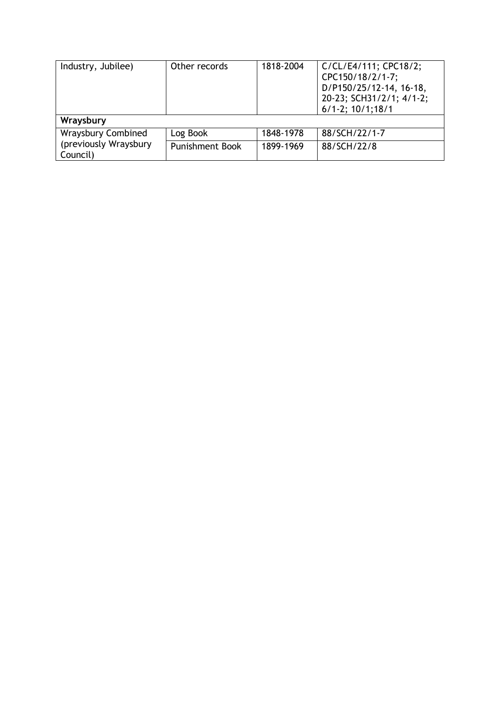| Industry, Jubilee)                | Other records          | 1818-2004 | C/CL/E4/111; CPC18/2;<br>CPC150/18/2/1-7;<br>D/P150/25/12-14, 16-18,<br>20-23; SCH31/2/1; 4/1-2;<br>$6/1 - 2$ ; $10/1$ ; $18/1$ |
|-----------------------------------|------------------------|-----------|---------------------------------------------------------------------------------------------------------------------------------|
| Wraysbury                         |                        |           |                                                                                                                                 |
| Wraysbury Combined                | Log Book               | 1848-1978 | 88/SCH/22/1-7                                                                                                                   |
| (previously Wraysbury<br>Council) | <b>Punishment Book</b> | 1899-1969 | 88/SCH/22/8                                                                                                                     |